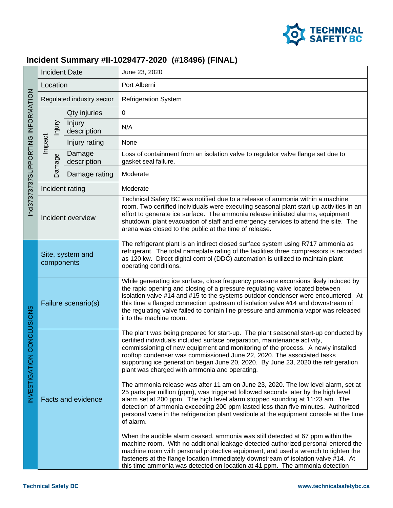

## **Incident Summary #II-1029477-2020 (#18496) (FINAL)**

| Inci37373737SUPPORTING INFORMATION | <b>Incident Date</b>           |                       | June 23, 2020                                                                                                                                                                                                                                                                                                                                                                                                                                                                                                                                                                                                                                                                                                                                                                                                                                                                                                 |
|------------------------------------|--------------------------------|-----------------------|---------------------------------------------------------------------------------------------------------------------------------------------------------------------------------------------------------------------------------------------------------------------------------------------------------------------------------------------------------------------------------------------------------------------------------------------------------------------------------------------------------------------------------------------------------------------------------------------------------------------------------------------------------------------------------------------------------------------------------------------------------------------------------------------------------------------------------------------------------------------------------------------------------------|
|                                    | Location                       |                       | Port Alberni                                                                                                                                                                                                                                                                                                                                                                                                                                                                                                                                                                                                                                                                                                                                                                                                                                                                                                  |
|                                    | Regulated industry sector      |                       | <b>Refrigeration System</b>                                                                                                                                                                                                                                                                                                                                                                                                                                                                                                                                                                                                                                                                                                                                                                                                                                                                                   |
|                                    | lnjury<br>Impact<br>Damage     | Qty injuries          | $\mathbf 0$                                                                                                                                                                                                                                                                                                                                                                                                                                                                                                                                                                                                                                                                                                                                                                                                                                                                                                   |
|                                    |                                | Injury<br>description | N/A                                                                                                                                                                                                                                                                                                                                                                                                                                                                                                                                                                                                                                                                                                                                                                                                                                                                                                           |
|                                    |                                | Injury rating         | None                                                                                                                                                                                                                                                                                                                                                                                                                                                                                                                                                                                                                                                                                                                                                                                                                                                                                                          |
|                                    |                                | Damage<br>description | Loss of containment from an isolation valve to regulator valve flange set due to<br>gasket seal failure.                                                                                                                                                                                                                                                                                                                                                                                                                                                                                                                                                                                                                                                                                                                                                                                                      |
|                                    |                                | Damage rating         | Moderate                                                                                                                                                                                                                                                                                                                                                                                                                                                                                                                                                                                                                                                                                                                                                                                                                                                                                                      |
|                                    | Incident rating                |                       | Moderate                                                                                                                                                                                                                                                                                                                                                                                                                                                                                                                                                                                                                                                                                                                                                                                                                                                                                                      |
|                                    | Incident overview              |                       | Technical Safety BC was notified due to a release of ammonia within a machine<br>room. Two certified individuals were executing seasonal plant start up activities in an<br>effort to generate ice surface. The ammonia release initiated alarms, equipment<br>shutdown, plant evacuation of staff and emergency services to attend the site. The<br>arena was closed to the public at the time of release.                                                                                                                                                                                                                                                                                                                                                                                                                                                                                                   |
| CONCLUSIONS<br>NVESTIGATION        | Site, system and<br>components |                       | The refrigerant plant is an indirect closed surface system using R717 ammonia as<br>refrigerant. The total nameplate rating of the facilities three compressors is recorded<br>as 120 kw. Direct digital control (DDC) automation is utilized to maintain plant<br>operating conditions.                                                                                                                                                                                                                                                                                                                                                                                                                                                                                                                                                                                                                      |
|                                    | Failure scenario(s)            |                       | While generating ice surface, close frequency pressure excursions likely induced by<br>the rapid opening and closing of a pressure regulating valve located between<br>isolation valve #14 and #15 to the systems outdoor condenser were encountered. At<br>this time a flanged connection upstream of isolation valve #14 and downstream of<br>the regulating valve failed to contain line pressure and ammonia vapor was released<br>into the machine room.                                                                                                                                                                                                                                                                                                                                                                                                                                                 |
|                                    | <b>Facts and evidence</b>      |                       | The plant was being prepared for start-up. The plant seasonal start-up conducted by<br>certified individuals included surface preparation, maintenance activity,<br>commissioning of new equipment and monitoring of the process. A newly installed<br>rooftop condenser was commissioned June 22, 2020. The associated tasks<br>supporting ice generation began June 20, 2020. By June 23, 2020 the refrigeration<br>plant was charged with ammonia and operating.<br>The ammonia release was after 11 am on June 23, 2020. The low level alarm, set at<br>25 parts per million (ppm), was triggered followed seconds later by the high level<br>alarm set at 200 ppm. The high level alarm stopped sounding at 11:23 am. The<br>detection of ammonia exceeding 200 ppm lasted less than five minutes. Authorized<br>personal were in the refrigeration plant vestibule at the equipment console at the time |
|                                    |                                |                       | of alarm.<br>When the audible alarm ceased, ammonia was still detected at 67 ppm within the<br>machine room. With no additional leakage detected authorized personal entered the<br>machine room with personal protective equipment, and used a wrench to tighten the<br>fasteners at the flange location immediately downstream of isolation valve #14. At<br>this time ammonia was detected on location at 41 ppm. The ammonia detection                                                                                                                                                                                                                                                                                                                                                                                                                                                                    |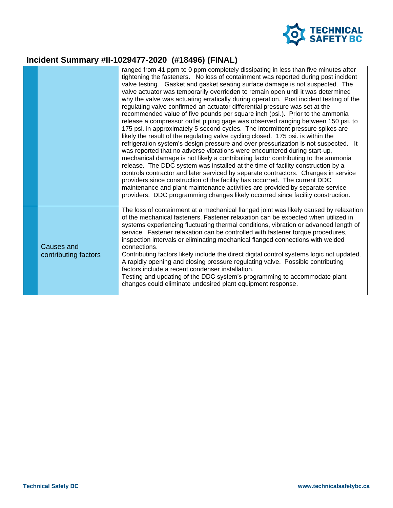

## **Incident Summary #II-1029477-2020 (#18496) (FINAL)**

|                                           | ranged from 41 ppm to 0 ppm completely dissipating in less than five minutes after<br>tightening the fasteners. No loss of containment was reported during post incident<br>valve testing. Gasket and gasket seating surface damage is not suspected. The<br>valve actuator was temporarily overridden to remain open until it was determined<br>why the valve was actuating erratically during operation. Post incident testing of the<br>regulating valve confirmed an actuator differential pressure was set at the<br>recommended value of five pounds per square inch (psi.). Prior to the ammonia<br>release a compressor outlet piping gage was observed ranging between 150 psi. to<br>175 psi. in approximately 5 second cycles. The intermittent pressure spikes are<br>likely the result of the regulating valve cycling closed. 175 psi. is within the<br>refrigeration system's design pressure and over pressurization is not suspected. It<br>was reported that no adverse vibrations were encountered during start-up,<br>mechanical damage is not likely a contributing factor contributing to the ammonia<br>release. The DDC system was installed at the time of facility construction by a<br>controls contractor and later serviced by separate contractors. Changes in service<br>providers since construction of the facility has occurred. The current DDC<br>maintenance and plant maintenance activities are provided by separate service<br>providers. DDC programming changes likely occurred since facility construction. |
|-------------------------------------------|--------------------------------------------------------------------------------------------------------------------------------------------------------------------------------------------------------------------------------------------------------------------------------------------------------------------------------------------------------------------------------------------------------------------------------------------------------------------------------------------------------------------------------------------------------------------------------------------------------------------------------------------------------------------------------------------------------------------------------------------------------------------------------------------------------------------------------------------------------------------------------------------------------------------------------------------------------------------------------------------------------------------------------------------------------------------------------------------------------------------------------------------------------------------------------------------------------------------------------------------------------------------------------------------------------------------------------------------------------------------------------------------------------------------------------------------------------------------------------------------------------------------------------------------------------|
| <b>Causes and</b><br>contributing factors | The loss of containment at a mechanical flanged joint was likely caused by relaxation<br>of the mechanical fasteners. Fastener relaxation can be expected when utilized in<br>systems experiencing fluctuating thermal conditions, vibration or advanced length of<br>service. Fastener relaxation can be controlled with fastener torque procedures,<br>inspection intervals or eliminating mechanical flanged connections with welded<br>connections.<br>Contributing factors likely include the direct digital control systems logic not updated.<br>A rapidly opening and closing pressure regulating valve. Possible contributing<br>factors include a recent condenser installation.<br>Testing and updating of the DDC system's programming to accommodate plant<br>changes could eliminate undesired plant equipment response.                                                                                                                                                                                                                                                                                                                                                                                                                                                                                                                                                                                                                                                                                                                 |